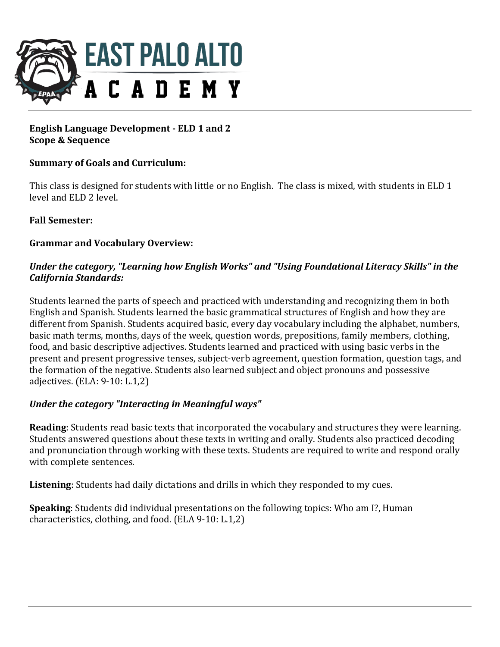

# **English Language Development - ELD 1 and 2 Scope & Sequence**

# **Summary of Goals and Curriculum:**

This class is designed for students with little or no English. The class is mixed, with students in ELD 1 level and ELD 2 level.

## **Fall Semester:**

## **Grammar and Vocabulary Overview:**

# Under the category, "Learning how English Works" and "Using Foundational Literacy Skills" in the *California Standards:*

Students learned the parts of speech and practiced with understanding and recognizing them in both English and Spanish. Students learned the basic grammatical structures of English and how they are different from Spanish. Students acquired basic, every day vocabulary including the alphabet, numbers, basic math terms, months, days of the week, question words, prepositions, family members, clothing, food, and basic descriptive adjectives. Students learned and practiced with using basic verbs in the present and present progressive tenses, subject-verb agreement, question formation, question tags, and the formation of the negative. Students also learned subject and object pronouns and possessive adjectives. (ELA: 9-10: L.1,2)

#### Under the category "Interacting in Meaningful ways"

**Reading:** Students read basic texts that incorporated the vocabulary and structures they were learning. Students answered questions about these texts in writing and orally. Students also practiced decoding and pronunciation through working with these texts. Students are required to write and respond orally with complete sentences.

**Listening**: Students had daily dictations and drills in which they responded to my cues.

**Speaking**: Students did individual presentations on the following topics: Who am I?, Human characteristics, clothing, and food. (ELA  $9-10: L.1,2$ )